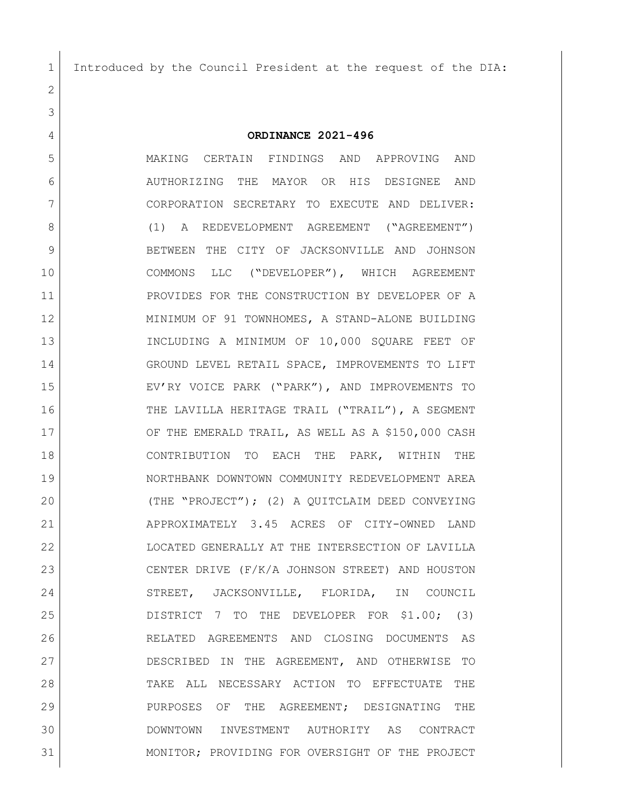Introduced by the Council President at the request of the DIA:

**ORDINANCE 2021-496**

 MAKING CERTAIN FINDINGS AND APPROVING AND AUTHORIZING THE MAYOR OR HIS DESIGNEE AND CORPORATION SECRETARY TO EXECUTE AND DELIVER: 8 (1) A REDEVELOPMENT AGREEMENT ("AGREEMENT") 9 BETWEEN THE CITY OF JACKSONVILLE AND JOHNSON COMMONS LLC ("DEVELOPER"), WHICH AGREEMENT 11 | PROVIDES FOR THE CONSTRUCTION BY DEVELOPER OF A MINIMUM OF 91 TOWNHOMES, A STAND-ALONE BUILDING INCLUDING A MINIMUM OF 10,000 SQUARE FEET OF GROUND LEVEL RETAIL SPACE, IMPROVEMENTS TO LIFT EV'RY VOICE PARK ("PARK"), AND IMPROVEMENTS TO 16 THE LAVILLA HERITAGE TRAIL ("TRAIL"), A SEGMENT 17 OF THE EMERALD TRAIL, AS WELL AS A \$150,000 CASH CONTRIBUTION TO EACH THE PARK, WITHIN THE NORTHBANK DOWNTOWN COMMUNITY REDEVELOPMENT AREA (THE "PROJECT"); (2) A QUITCLAIM DEED CONVEYING APPROXIMATELY 3.45 ACRES OF CITY-OWNED LAND LOCATED GENERALLY AT THE INTERSECTION OF LAVILLA CENTER DRIVE (F/K/A JOHNSON STREET) AND HOUSTON 24 STREET, JACKSONVILLE, FLORIDA, IN COUNCIL DISTRICT 7 TO THE DEVELOPER FOR \$1.00; (3) RELATED AGREEMENTS AND CLOSING DOCUMENTS AS DESCRIBED IN THE AGREEMENT, AND OTHERWISE TO TAKE ALL NECESSARY ACTION TO EFFECTUATE THE PURPOSES OF THE AGREEMENT; DESIGNATING THE DOWNTOWN INVESTMENT AUTHORITY AS CONTRACT MONITOR; PROVIDING FOR OVERSIGHT OF THE PROJECT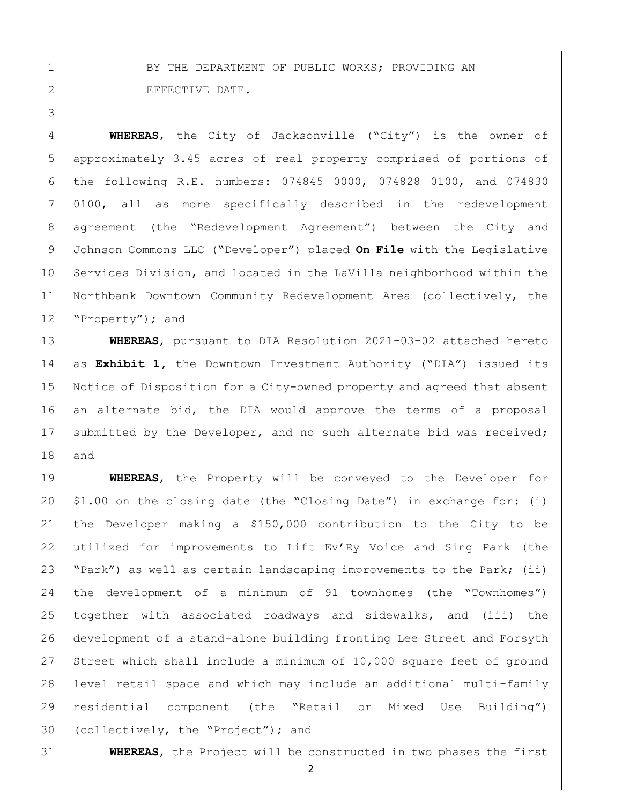1 BY THE DEPARTMENT OF PUBLIC WORKS; PROVIDING AN 2 EFFECTIVE DATE.

 **WHEREAS**, the City of Jacksonville ("City") is the owner of approximately 3.45 acres of real property comprised of portions of the following R.E. numbers: 074845 0000, 074828 0100, and 074830 0100, all as more specifically described in the redevelopment agreement (the "Redevelopment Agreement") between the City and Johnson Commons LLC ("Developer") placed **On File** with the Legislative Services Division, and located in the LaVilla neighborhood within the Northbank Downtown Community Redevelopment Area (collectively, the 12 Property"); and

 **WHEREAS**, pursuant to DIA Resolution 2021-03-02 attached hereto as **Exhibit 1,** the Downtown Investment Authority ("DIA") issued its Notice of Disposition for a City-owned property and agreed that absent an alternate bid, the DIA would approve the terms of a proposal 17 submitted by the Developer, and no such alternate bid was received; and

 **WHEREAS**, the Property will be conveyed to the Developer for  $20 \mid 1.00$  on the closing date (the "Closing Date") in exchange for: (i) the Developer making a \$150,000 contribution to the City to be utilized for improvements to Lift Ev'Ry Voice and Sing Park (the "Park") as well as certain landscaping improvements to the Park; (ii) the development of a minimum of 91 townhomes (the "Townhomes") together with associated roadways and sidewalks, and (iii) the development of a stand-alone building fronting Lee Street and Forsyth Street which shall include a minimum of 10,000 square feet of ground level retail space and which may include an additional multi-family residential component (the "Retail or Mixed Use Building") 30 (collectively, the "Project"); and

**WHEREAS**, the Project will be constructed in two phases the first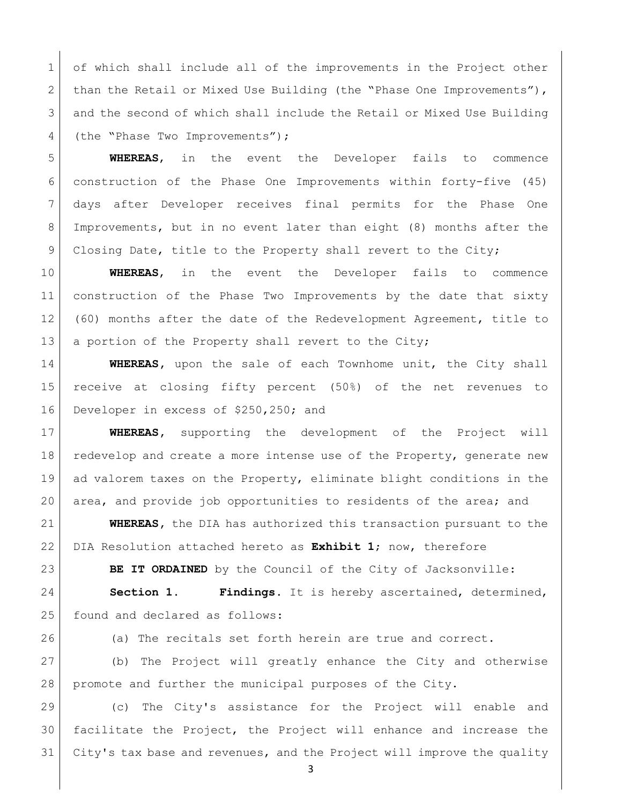1 of which shall include all of the improvements in the Project other 2 than the Retail or Mixed Use Building (the "Phase One Improvements"), and the second of which shall include the Retail or Mixed Use Building 4 (the "Phase Two Improvements");

 **WHEREAS**, in the event the Developer fails to commence construction of the Phase One Improvements within forty-five (45) days after Developer receives final permits for the Phase One Improvements, but in no event later than eight (8) months after the 9 Closing Date, title to the Property shall revert to the City;

 **WHEREAS**, in the event the Developer fails to commence 11 construction of the Phase Two Improvements by the date that sixty (60) months after the date of the Redevelopment Agreement, title to 13 a portion of the Property shall revert to the City;

 **WHEREAS,** upon the sale of each Townhome unit, the City shall receive at closing fifty percent (50%) of the net revenues to 16 Developer in excess of \$250,250; and

 **WHEREAS,** supporting the development of the Project will 18 redevelop and create a more intense use of the Property, generate new ad valorem taxes on the Property, eliminate blight conditions in the area, and provide job opportunities to residents of the area; and

 **WHEREAS,** the DIA has authorized this transaction pursuant to the DIA Resolution attached hereto as **Exhibit 1**; now, therefore

**BE IT ORDAINED** by the Council of the City of Jacksonville:

 **Section 1. Findings.** It is hereby ascertained, determined, 25 found and declared as follows:

(a) The recitals set forth herein are true and correct.

 (b) The Project will greatly enhance the City and otherwise promote and further the municipal purposes of the City.

 (c) The City's assistance for the Project will enable and facilitate the Project, the Project will enhance and increase the City's tax base and revenues, and the Project will improve the quality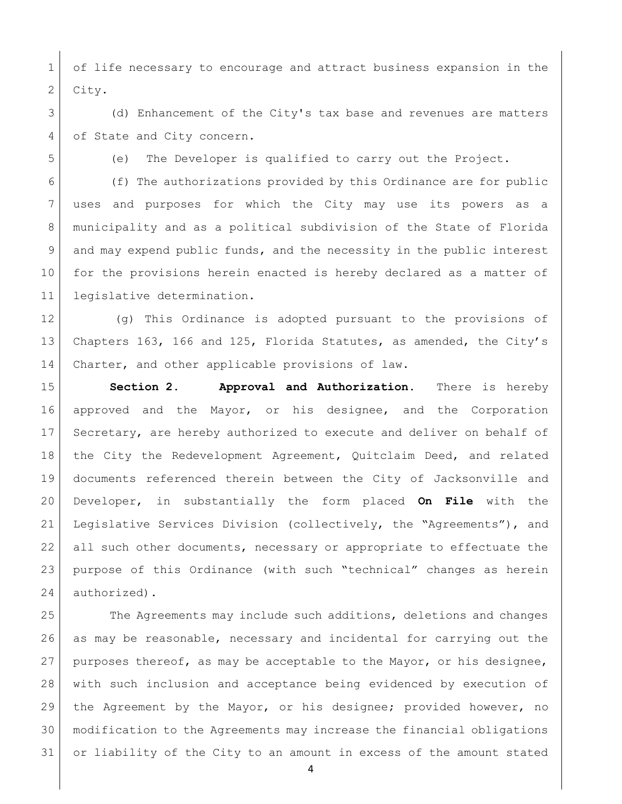of life necessary to encourage and attract business expansion in the 2 City.

 (d) Enhancement of the City's tax base and revenues are matters 4 of State and City concern.

(e) The Developer is qualified to carry out the Project.

 (f) The authorizations provided by this Ordinance are for public uses and purposes for which the City may use its powers as a municipality and as a political subdivision of the State of Florida and may expend public funds, and the necessity in the public interest for the provisions herein enacted is hereby declared as a matter of legislative determination.

 (g) This Ordinance is adopted pursuant to the provisions of Chapters 163, 166 and 125, Florida Statutes, as amended, the City's 14 Charter, and other applicable provisions of law.

 **Section 2. Approval and Authorization.** There is hereby approved and the Mayor, or his designee, and the Corporation Secretary, are hereby authorized to execute and deliver on behalf of the City the Redevelopment Agreement, Quitclaim Deed, and related documents referenced therein between the City of Jacksonville and Developer, in substantially the form placed **On File** with the Legislative Services Division (collectively, the "Agreements"), and all such other documents, necessary or appropriate to effectuate the purpose of this Ordinance (with such "technical" changes as herein authorized).

 The Agreements may include such additions, deletions and changes as may be reasonable, necessary and incidental for carrying out the 27 purposes thereof, as may be acceptable to the Mayor, or his designee, with such inclusion and acceptance being evidenced by execution of the Agreement by the Mayor, or his designee; provided however, no modification to the Agreements may increase the financial obligations or liability of the City to an amount in excess of the amount stated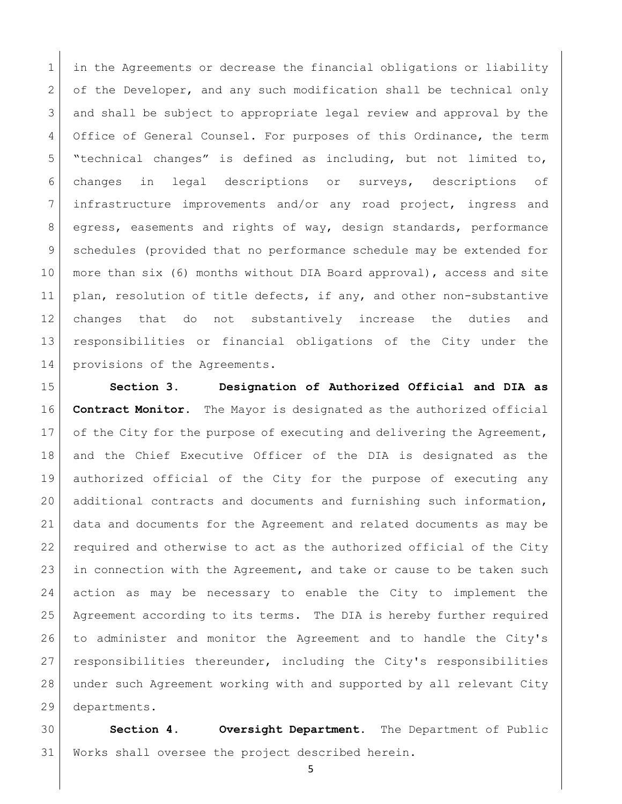in the Agreements or decrease the financial obligations or liability 2 of the Developer, and any such modification shall be technical only and shall be subject to appropriate legal review and approval by the 4 Office of General Counsel. For purposes of this Ordinance, the term "technical changes" is defined as including, but not limited to, changes in legal descriptions or surveys, descriptions of infrastructure improvements and/or any road project, ingress and egress, easements and rights of way, design standards, performance schedules (provided that no performance schedule may be extended for more than six (6) months without DIA Board approval), access and site 11 | plan, resolution of title defects, if any, and other non-substantive changes that do not substantively increase the duties and responsibilities or financial obligations of the City under the 14 provisions of the Agreements.

 **Section 3. Designation of Authorized Official and DIA as Contract Monitor.** The Mayor is designated as the authorized official 17 of the City for the purpose of executing and delivering the Agreement, and the Chief Executive Officer of the DIA is designated as the authorized official of the City for the purpose of executing any additional contracts and documents and furnishing such information, data and documents for the Agreement and related documents as may be required and otherwise to act as the authorized official of the City 23 in connection with the Agreement, and take or cause to be taken such action as may be necessary to enable the City to implement the Agreement according to its terms. The DIA is hereby further required to administer and monitor the Agreement and to handle the City's responsibilities thereunder, including the City's responsibilities under such Agreement working with and supported by all relevant City departments.

 **Section 4. Oversight Department.** The Department of Public Works shall oversee the project described herein.